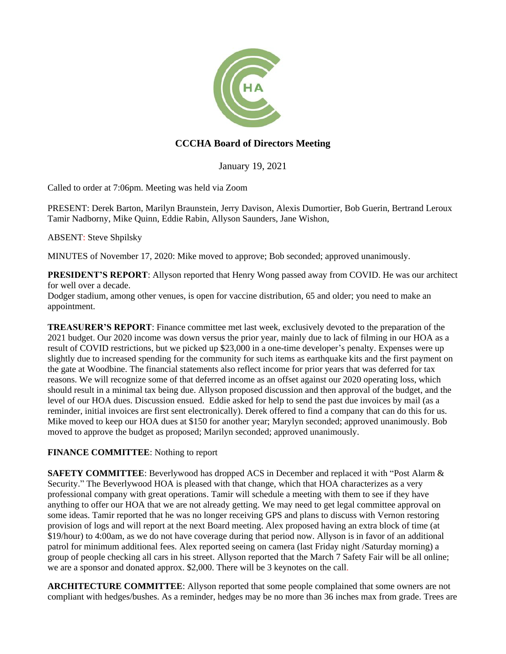

# **CCCHA Board of Directors Meeting**

January 19, 2021

Called to order at 7:06pm. Meeting was held via Zoom

PRESENT: Derek Barton, Marilyn Braunstein, Jerry Davison, Alexis Dumortier, Bob Guerin, Bertrand Leroux Tamir Nadborny, Mike Quinn, Eddie Rabin, Allyson Saunders, Jane Wishon,

ABSENT: Steve Shpilsky

MINUTES of November 17, 2020: Mike moved to approve; Bob seconded; approved unanimously.

**PRESIDENT'S REPORT**: Allyson reported that Henry Wong passed away from COVID. He was our architect for well over a decade.

Dodger stadium, among other venues, is open for vaccine distribution, 65 and older; you need to make an appointment.

**TREASURER'S REPORT**: Finance committee met last week, exclusively devoted to the preparation of the 2021 budget. Our 2020 income was down versus the prior year, mainly due to lack of filming in our HOA as a result of COVID restrictions, but we picked up \$23,000 in a one-time developer's penalty. Expenses were up slightly due to increased spending for the community for such items as earthquake kits and the first payment on the gate at Woodbine. The financial statements also reflect income for prior years that was deferred for tax reasons. We will recognize some of that deferred income as an offset against our 2020 operating loss, which should result in a minimal tax being due. Allyson proposed discussion and then approval of the budget, and the level of our HOA dues. Discussion ensued. Eddie asked for help to send the past due invoices by mail (as a reminder, initial invoices are first sent electronically). Derek offered to find a company that can do this for us. Mike moved to keep our HOA dues at \$150 for another year; Marylyn seconded; approved unanimously. Bob moved to approve the budget as proposed; Marilyn seconded; approved unanimously.

## **FINANCE COMMITTEE**: Nothing to report

**SAFETY COMMITTEE:** Beverlywood has dropped ACS in December and replaced it with "Post Alarm & Security." The Beverlywood HOA is pleased with that change, which that HOA characterizes as a very professional company with great operations. Tamir will schedule a meeting with them to see if they have anything to offer our HOA that we are not already getting. We may need to get legal committee approval on some ideas. Tamir reported that he was no longer receiving GPS and plans to discuss with Vernon restoring provision of logs and will report at the next Board meeting. Alex proposed having an extra block of time (at \$19/hour) to 4:00am, as we do not have coverage during that period now. Allyson is in favor of an additional patrol for minimum additional fees. Alex reported seeing on camera (last Friday night /Saturday morning) a group of people checking all cars in his street. Allyson reported that the March 7 Safety Fair will be all online; we are a sponsor and donated approx. \$2,000. There will be 3 keynotes on the call.

**ARCHITECTURE COMMITTEE**: Allyson reported that some people complained that some owners are not compliant with hedges/bushes. As a reminder, hedges may be no more than 36 inches max from grade. Trees are